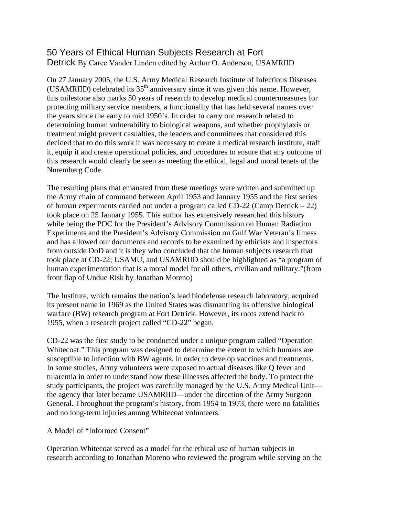## 50 Years of Ethical Human Subjects Research at Fort Detrick By Caree Vander Linden edited by Arthur O. Anderson, USAMRIID

On 27 January 2005, the U.S. Army Medical Research Institute of Infectious Diseases (USAMRIID) celebrated its  $35<sup>th</sup>$  anniversary since it was given this name. However, this milestone also marks 50 years of research to develop medical countermeasures for protecting military service members, a functionality that has held several names over the years since the early to mid 1950's. In order to carry out research related to determining human vulnerability to biological weapons, and whether prophylaxis or treatment might prevent casualties, the leaders and committees that considered this decided that to do this work it was necessary to create a medical research institute, staff it, equip it and create operational policies, and procedures to ensure that any outcome of this research would clearly be seen as meeting the ethical, legal and moral tenets of the Nuremberg Code.

The resulting plans that emanated from these meetings were written and submitted up the Army chain of command between April 1953 and January 1955 and the first series of human experiments carried out under a program called CD-22 (Camp Detrick – 22) took place on 25 January 1955. This author has extensively researched this history while being the POC for the President's Advisory Commission on Human Radiation Experiments and the President's Advisory Commission on Gulf War Veteran's Illness and has allowed our documents and records to be examined by ethicists and inspectors from outside DoD and it is they who concluded that the human subjects research that took place at CD-22; USAMU, and USAMRIID should be highlighted as "a program of human experimentation that is a moral model for all others, civilian and military."(from front flap of Undue Risk by Jonathan Moreno)

The Institute, which remains the nation's lead biodefense research laboratory, acquired its present name in 1969 as the United States was dismantling its offensive biological warfare (BW) research program at Fort Detrick. However, its roots extend back to 1955, when a research project called "CD-22" began.

CD-22 was the first study to be conducted under a unique program called "Operation Whitecoat." This program was designed to determine the extent to which humans are susceptible to infection with BW agents, in order to develop vaccines and treatments. In some studies, Army volunteers were exposed to actual diseases like Q fever and tularemia in order to understand how these illnesses affected the body. To protect the study participants, the project was carefully managed by the U.S. Army Medical Unit the agency that later became USAMRIID—under the direction of the Army Surgeon General. Throughout the program's history, from 1954 to 1973, there were no fatalities and no long-term injuries among Whitecoat volunteers.

## A Model of "Informed Consent"

Operation Whitecoat served as a model for the ethical use of human subjects in research according to Jonathan Moreno who reviewed the program while serving on the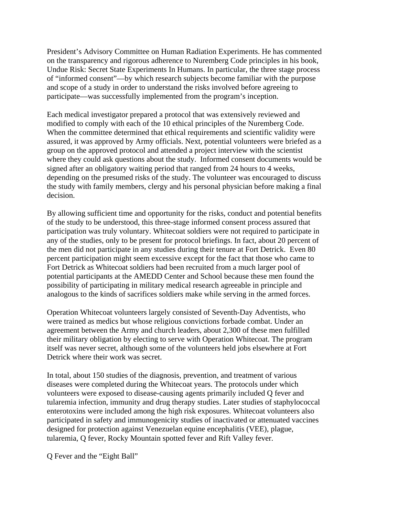President's Advisory Committee on Human Radiation Experiments. He has commented on the transparency and rigorous adherence to Nuremberg Code principles in his book, Undue Risk: Secret State Experiments In Humans. In particular, the three stage process of "informed consent"—by which research subjects become familiar with the purpose and scope of a study in order to understand the risks involved before agreeing to participate—was successfully implemented from the program's inception.

Each medical investigator prepared a protocol that was extensively reviewed and modified to comply with each of the 10 ethical principles of the Nuremberg Code. When the committee determined that ethical requirements and scientific validity were assured, it was approved by Army officials. Next, potential volunteers were briefed as a group on the approved protocol and attended a project interview with the scientist where they could ask questions about the study. Informed consent documents would be signed after an obligatory waiting period that ranged from 24 hours to 4 weeks, depending on the presumed risks of the study. The volunteer was encouraged to discuss the study with family members, clergy and his personal physician before making a final decision.

By allowing sufficient time and opportunity for the risks, conduct and potential benefits of the study to be understood, this three-stage informed consent process assured that participation was truly voluntary. Whitecoat soldiers were not required to participate in any of the studies, only to be present for protocol briefings. In fact, about 20 percent of the men did not participate in any studies during their tenure at Fort Detrick. Even 80 percent participation might seem excessive except for the fact that those who came to Fort Detrick as Whitecoat soldiers had been recruited from a much larger pool of potential participants at the AMEDD Center and School because these men found the possibility of participating in military medical research agreeable in principle and analogous to the kinds of sacrifices soldiers make while serving in the armed forces.

Operation Whitecoat volunteers largely consisted of Seventh-Day Adventists, who were trained as medics but whose religious convictions forbade combat. Under an agreement between the Army and church leaders, about 2,300 of these men fulfilled their military obligation by electing to serve with Operation Whitecoat. The program itself was never secret, although some of the volunteers held jobs elsewhere at Fort Detrick where their work was secret.

In total, about 150 studies of the diagnosis, prevention, and treatment of various diseases were completed during the Whitecoat years. The protocols under which volunteers were exposed to disease-causing agents primarily included Q fever and tularemia infection, immunity and drug therapy studies. Later studies of staphylococcal enterotoxins were included among the high risk exposures. Whitecoat volunteers also participated in safety and immunogenicity studies of inactivated or attenuated vaccines designed for protection against Venezuelan equine encephalitis (VEE), plague, tularemia, Q fever, Rocky Mountain spotted fever and Rift Valley fever.

Q Fever and the "Eight Ball"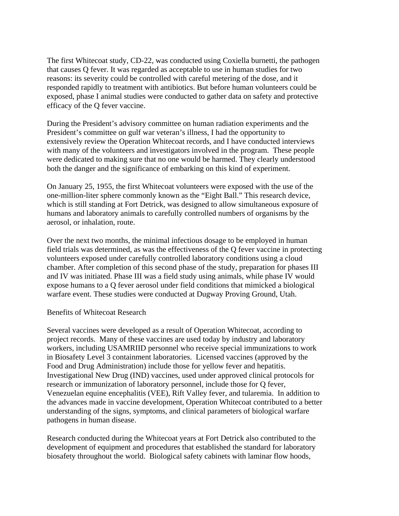The first Whitecoat study, CD-22, was conducted using Coxiella burnetti, the pathogen that causes Q fever. It was regarded as acceptable to use in human studies for two reasons: its severity could be controlled with careful metering of the dose, and it responded rapidly to treatment with antibiotics. But before human volunteers could be exposed, phase I animal studies were conducted to gather data on safety and protective efficacy of the Q fever vaccine.

During the President's advisory committee on human radiation experiments and the President's committee on gulf war veteran's illness, I had the opportunity to extensively review the Operation Whitecoat records, and I have conducted interviews with many of the volunteers and investigators involved in the program. These people were dedicated to making sure that no one would be harmed. They clearly understood both the danger and the significance of embarking on this kind of experiment.

On January 25, 1955, the first Whitecoat volunteers were exposed with the use of the one-million-liter sphere commonly known as the "Eight Ball." This research device, which is still standing at Fort Detrick, was designed to allow simultaneous exposure of humans and laboratory animals to carefully controlled numbers of organisms by the aerosol, or inhalation, route.

Over the next two months, the minimal infectious dosage to be employed in human field trials was determined, as was the effectiveness of the Q fever vaccine in protecting volunteers exposed under carefully controlled laboratory conditions using a cloud chamber. After completion of this second phase of the study, preparation for phases III and IV was initiated. Phase III was a field study using animals, while phase IV would expose humans to a Q fever aerosol under field conditions that mimicked a biological warfare event. These studies were conducted at Dugway Proving Ground, Utah.

## Benefits of Whitecoat Research

Several vaccines were developed as a result of Operation Whitecoat, according to project records. Many of these vaccines are used today by industry and laboratory workers, including USAMRIID personnel who receive special immunizations to work in Biosafety Level 3 containment laboratories. Licensed vaccines (approved by the Food and Drug Administration) include those for yellow fever and hepatitis. Investigational New Drug (IND) vaccines, used under approved clinical protocols for research or immunization of laboratory personnel, include those for Q fever, Venezuelan equine encephalitis (VEE), Rift Valley fever, and tularemia. In addition to the advances made in vaccine development, Operation Whitecoat contributed to a better understanding of the signs, symptoms, and clinical parameters of biological warfare pathogens in human disease.

Research conducted during the Whitecoat years at Fort Detrick also contributed to the development of equipment and procedures that established the standard for laboratory biosafety throughout the world. Biological safety cabinets with laminar flow hoods,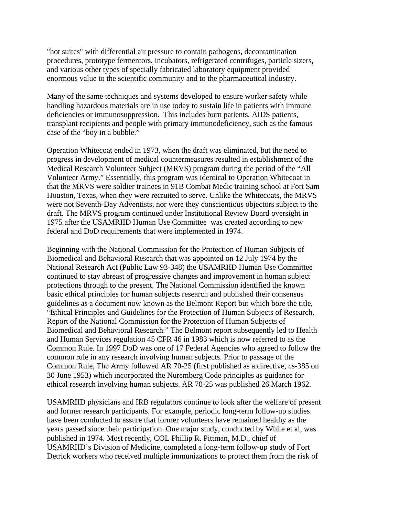"hot suites" with differential air pressure to contain pathogens, decontamination procedures, prototype fermentors, incubators, refrigerated centrifuges, particle sizers, and various other types of specially fabricated laboratory equipment provided enormous value to the scientific community and to the pharmaceutical industry.

Many of the same techniques and systems developed to ensure worker safety while handling hazardous materials are in use today to sustain life in patients with immune deficiencies or immunosuppression. This includes burn patients, AIDS patients, transplant recipients and people with primary immunodeficiency, such as the famous case of the "boy in a bubble."

Operation Whitecoat ended in 1973, when the draft was eliminated, but the need to progress in development of medical countermeasures resulted in establishment of the Medical Research Volunteer Subject (MRVS) program during the period of the "All Volunteer Army." Essentially, this program was identical to Operation Whitecoat in that the MRVS were soldier trainees in 91B Combat Medic training school at Fort Sam Houston, Texas, when they were recruited to serve. Unlike the Whitecoats, the MRVS were not Seventh-Day Adventists, nor were they conscientious objectors subject to the draft. The MRVS program continued under Institutional Review Board oversight in 1975 after the USAMRIID Human Use Committee was created according to new federal and DoD requirements that were implemented in 1974.

Beginning with the National Commission for the Protection of Human Subjects of Biomedical and Behavioral Research that was appointed on 12 July 1974 by the National Research Act (Public Law 93-348) the USAMRIID Human Use Committee continued to stay abreast of progressive changes and improvement in human subject protections through to the present. The National Commission identified the known basic ethical principles for human subjects research and published their consensus guidelines as a document now known as the Belmont Report but which bore the title, "Ethical Principles and Guidelines for the Protection of Human Subjects of Research, Report of the National Commission for the Protection of Human Subjects of Biomedical and Behavioral Research." The Belmont report subsequently led to Health and Human Services regulation 45 CFR 46 in 1983 which is now referred to as the Common Rule. In 1997 DoD was one of 17 Federal Agencies who agreed to follow the common rule in any research involving human subjects. Prior to passage of the Common Rule, The Army followed AR 70-25 (first published as a directive, cs-385 on 30 June 1953) which incorporated the Nuremberg Code principles as guidance for ethical research involving human subjects. AR 70-25 was published 26 March 1962.

USAMRIID physicians and IRB regulators continue to look after the welfare of present and former research participants. For example, periodic long-term follow-up studies have been conducted to assure that former volunteers have remained healthy as the years passed since their participation. One major study, conducted by White et al, was published in 1974. Most recently, COL Phillip R. Pittman, M.D., chief of USAMRIID's Division of Medicine, completed a long-term follow-up study of Fort Detrick workers who received multiple immunizations to protect them from the risk of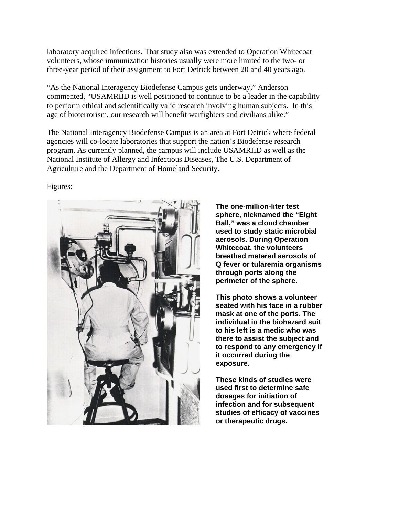laboratory acquired infections. That study also was extended to Operation Whitecoat volunteers, whose immunization histories usually were more limited to the two- or three-year period of their assignment to Fort Detrick between 20 and 40 years ago.

"As the National Interagency Biodefense Campus gets underway," Anderson commented, "USAMRIID is well positioned to continue to be a leader in the capability to perform ethical and scientifically valid research involving human subjects. In this age of bioterrorism, our research will benefit warfighters and civilians alike."

The National Interagency Biodefense Campus is an area at Fort Detrick where federal agencies will co-locate laboratories that support the nation's Biodefense research program. As currently planned, the campus will include USAMRIID as well as the National Institute of Allergy and Infectious Diseases, The U.S. Department of Agriculture and the Department of Homeland Security.

Figures:



**The one-million-liter test sphere, nicknamed the "Eight Ball," was a cloud chamber used to study static microbial aerosols. During Operation Whitecoat, the volunteers breathed metered aerosols of Q fever or tularemia organisms through ports along the perimeter of the sphere.** 

**This photo shows a volunteer seated with his face in a rubber mask at one of the ports. The individual in the biohazard suit to his left is a medic who was there to assist the subject and to respond to any emergency if it occurred during the exposure.** 

**These kinds of studies were used first to determine safe dosages for initiation of infection and for subsequent studies of efficacy of vaccines or therapeutic drugs.**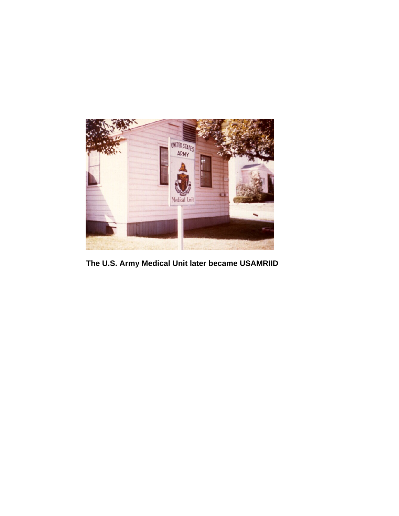

 **The U.S. Army Medical Unit later became USAMRIID**